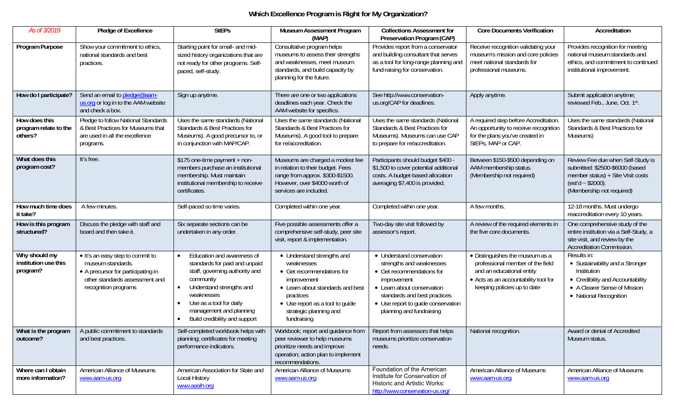## **Which Excellence Program is Right for My Organization?**

| As of 3/2019                                      | Pledge of Excellence                                                                                                                                  | <b>StEPs</b>                                                                                                                                                                                                                                | <b>Museum Assessment Program</b><br>(MAP)                                                                                                                                                                         | <b>Collections Assessment for</b><br>Preservation Program (CAP)                                                                                                                                                                   | <b>Core Documents Verification</b>                                                                                                                                      | Accreditation                                                                                                                                                |
|---------------------------------------------------|-------------------------------------------------------------------------------------------------------------------------------------------------------|---------------------------------------------------------------------------------------------------------------------------------------------------------------------------------------------------------------------------------------------|-------------------------------------------------------------------------------------------------------------------------------------------------------------------------------------------------------------------|-----------------------------------------------------------------------------------------------------------------------------------------------------------------------------------------------------------------------------------|-------------------------------------------------------------------------------------------------------------------------------------------------------------------------|--------------------------------------------------------------------------------------------------------------------------------------------------------------|
| Program Purpose                                   | Show your commitment to ethics,<br>national standards and best<br>practices.                                                                          | Starting point for small- and mid-<br>sized history organizations that are<br>not ready for other programs. Self-<br>paced, self-study.                                                                                                     | Consultative program helps<br>museums to assess their strengths<br>and weaknesses, meet museum<br>standards, and build capacity by<br>planning for the future.                                                    | Provides report from a conservator<br>and building consultant that serves<br>as a tool for long-range planning and<br>fund-raising for conservation.                                                                              | Receive recognition validating your<br>museum's mission and core policies<br>meet national standards for<br>professional museums.                                       | Provides recognition for meeting<br>national museum standards and<br>ethics, and commitment to continued<br>institutional improvement.                       |
| How do I participate?                             | Send an email to pledge@aam-<br>us.org or log in to the AAM website<br>and check a box.                                                               | Sign up anytime.                                                                                                                                                                                                                            | There are one or two applications<br>deadlines each year. Check the<br>AAM website for specifics.                                                                                                                 | See http://www.conservation-<br>us.org/CAP for deadlines.                                                                                                                                                                         | Apply anytime.                                                                                                                                                          | Submit application anytime;<br>reviewed Feb., June, Oct. 1st.                                                                                                |
| How does this<br>program relate to the<br>others? | Pledge to follow National Standards<br>& Best Practices for Museums that<br>are used in all the excellence<br>programs.                               | Uses the same standards (National<br>Standards & Best Practices for<br>Museums). A good precursor to, or<br>in conjunction with MAP/CAP.                                                                                                    | Uses the same standards (National<br>Standards & Best Practices for<br>Museums). A good tool to prepare<br>for re/accreditation.                                                                                  | Uses the same standards (National<br>Standards & Best Practices for<br>Museums). Museums can use CAP<br>to prepare for re/accreditation.                                                                                          | A required step before Accreditation<br>An opportunity to receive recognition<br>for the plans you've created in<br>StEPs, MAP or CAP.                                  | Uses the same standards (National<br>Standards & Best Practices for<br>Museums)                                                                              |
| What does this<br>program cost?                   | It's free.                                                                                                                                            | \$175 one-time payment + non-<br>members purchase an institutional<br>membership. Must maintain<br>institutional membership to receive<br>certificates.                                                                                     | Museums are charged a modest fee<br>in relation to their budget. Fees<br>range from approx. \$300-\$1500.<br>However, over \$4000 worth of<br>services are included.                                              | Participants should budget \$400 -<br>\$1,500 to cover potential additional<br>costs. A budget-based allocation<br>averaging \$7,400 is provided.                                                                                 | Between \$150-\$500 depending on<br>AAM membership status.<br>(Membership not required)                                                                                 | Review Fee due when Self-Study is<br>submitted: \$2500-\$6000 (based<br>member status) + Site Visit costs<br>$(est'd - $2000).$<br>(Membership not required) |
| How much time does<br>it take?                    | A few minutes.                                                                                                                                        | Self-paced so time varies.                                                                                                                                                                                                                  | Completed within one year.                                                                                                                                                                                        | Completed within one year.                                                                                                                                                                                                        | A few months.                                                                                                                                                           | 12-18 months. Must undergo<br>reaccreditation every 10 years.                                                                                                |
| How is this program<br>structured?                | Discuss the pledge with staff and<br>board and then take it.                                                                                          | Six separate sections can be<br>undertaken in any order.                                                                                                                                                                                    | Five possible assessments offer a<br>comprehensive self-study, peer site<br>visit, report & implementation.                                                                                                       | Two-day site visit followed by<br>assessor's report.                                                                                                                                                                              | A review of the required elements in<br>the five core documents.                                                                                                        | One comprehensive study of the<br>entire institution via a Self-Study, a<br>site visit, and review by the<br>Accreditation Commission.                       |
| Why should my<br>institution use this<br>program? | • It's an easy step to commit to<br>museum standards.<br>• A precursor for participating in<br>other standards assessment and<br>recognition programs | Education and awareness of<br>standards for paid and unpaid<br>staff, governing authority and<br>community<br>Understand strengths and<br>weaknesses<br>Use as a tool for daily<br>management and planning<br>Build credibility and support | • Understand strengths and<br>weaknesses<br>• Get recommendations for<br>improvement<br>• Learn about standards and best<br>practices<br>• Use report as a tool to guide<br>strategic planning and<br>fundraising | • Understand conservation<br>strengths and weaknesses<br>• Get recommendations for<br>improvement<br>• Learn about conservation<br>standards and best practices<br>• Use report to guide conservation<br>planning and fundraising | • Distinguishes the museum as a<br>professional member of the field<br>and an educational entity<br>• Acts as an accountability tool for<br>keeping policies up to date | Results in:<br>• Sustainability and a Stronger<br>Institution<br>• Credibility and Accountability<br>• A Clearer Sense of Mission<br>• National Recognition  |
| What is the program<br>outcome?                   | A public commitment to standards<br>and best practices.                                                                                               | Self-completed workbook helps with<br>planning; certificates for meeting<br>performance indicators.                                                                                                                                         | Workbook; report and guidance from<br>peer reviewer to help museums<br>prioritize needs and improve<br>operation; action plan to implement<br>recommendations.                                                    | Report from assessors that helps<br>museums prioritize conservation<br>needs.                                                                                                                                                     | National recognition.                                                                                                                                                   | Award or denial of Accredited<br>Museum status.                                                                                                              |
| Where can I obtain<br>more information?           | American Alliance of Museums<br>www.aam-us.org                                                                                                        | American Association for State and<br>Local History<br>www.aaslh.org                                                                                                                                                                        | American Alliance of Museums<br>www.aam-us.org                                                                                                                                                                    | Foundation of the American<br>Institute for Conservation of<br><b>Historic and Artistic Works:</b><br>http://www.conservation-us.org/                                                                                             | American Alliance of Museums<br>www.aam-us.org                                                                                                                          | American Alliance of Museums<br>www.aam-us.org                                                                                                               |